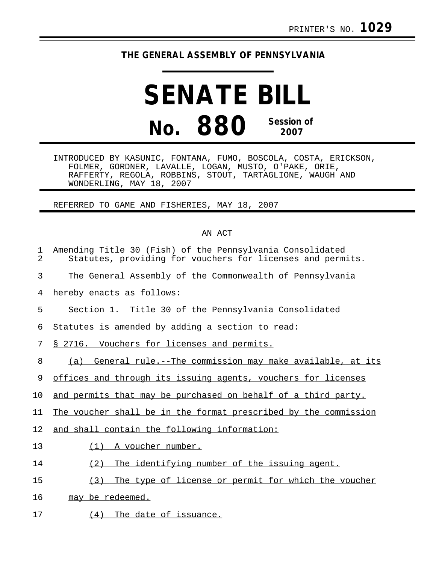## **THE GENERAL ASSEMBLY OF PENNSYLVANIA**

## **SENATE BILL No. 880 Session of 2007**

INTRODUCED BY KASUNIC, FONTANA, FUMO, BOSCOLA, COSTA, ERICKSON, FOLMER, GORDNER, LAVALLE, LOGAN, MUSTO, O'PAKE, ORIE, RAFFERTY, REGOLA, ROBBINS, STOUT, TARTAGLIONE, WAUGH AND WONDERLING, MAY 18, 2007

REFERRED TO GAME AND FISHERIES, MAY 18, 2007

## AN ACT

| 1<br>2 | Amending Title 30 (Fish) of the Pennsylvania Consolidated<br>Statutes, providing for vouchers for licenses and permits. |
|--------|-------------------------------------------------------------------------------------------------------------------------|
| 3      | The General Assembly of the Commonwealth of Pennsylvania                                                                |
| 4      | hereby enacts as follows:                                                                                               |
| 5      | Section 1. Title 30 of the Pennsylvania Consolidated                                                                    |
| 6      | Statutes is amended by adding a section to read:                                                                        |
| 7      | § 2716. Vouchers for licenses and permits.                                                                              |
| 8      | (a) General rule.--The commission may make available, at its                                                            |
| 9      | offices and through its issuing agents, vouchers for licenses                                                           |
| 10     | and permits that may be purchased on behalf of a third party.                                                           |
| 11     | The voucher shall be in the format prescribed by the commission                                                         |
| 12     | and shall contain the following information:                                                                            |
| 13     | A voucher number.<br>(1)                                                                                                |
| 14     | (2)<br>The identifying number of the issuing agent.                                                                     |
| 15     | (3)<br>The type of license or permit for which the voucher                                                              |
| 16     | may be redeemed.                                                                                                        |
| 17     | $(4)$ The date of issuance.                                                                                             |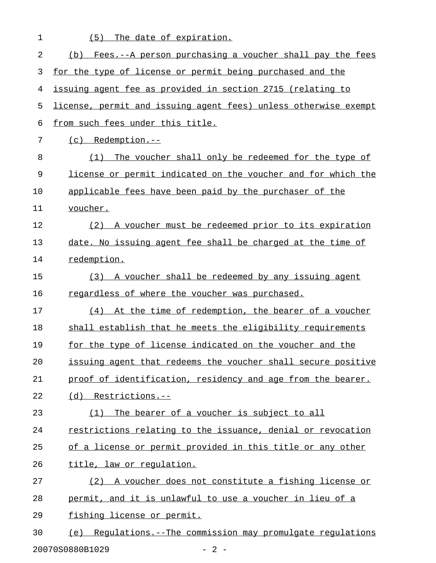| Fees.--A person purchasing a voucher shall pay the fees<br>(b)   |
|------------------------------------------------------------------|
| for the type of license or permit being purchased and the        |
| issuing agent fee as provided in section 2715 (relating to       |
| license, permit and issuing agent fees) unless otherwise exempt  |
| from such fees under this title.                                 |
| $(c)$ Redemption.--                                              |
| The voucher shall only be redeemed for the type of<br>(1)        |
| license or permit indicated on the voucher and for which the     |
| applicable fees have been paid by the purchaser of the           |
| voucher.                                                         |
| (2) A voucher must be redeemed prior to its expiration           |
| date. No issuing agent fee shall be charged at the time of       |
| redemption.                                                      |
| A voucher shall be redeemed by any issuing agent<br>(3)          |
| regardless of where the voucher was purchased.                   |
| (4)<br>At the time of redemption, the bearer of a voucher        |
| shall establish that he meets the eligibility requirements       |
| for the type of license indicated on the voucher and the         |
| issuing agent that redeems the voucher shall secure positive     |
| proof of identification, residency and age from the bearer.      |
| $(d)$ Restrictions.--                                            |
| The bearer of a voucher is subject to all<br>(1)                 |
| restrictions relating to the issuance, denial or revocation      |
| of a license or permit provided in this title or any other       |
| title, law or regulation.                                        |
| A voucher does not constitute a fishing license or<br>(2)        |
| permit, and it is unlawful to use a voucher in lieu of a         |
| fishing license or permit.                                       |
| Requlations. -- The commission may promulgate requlations<br>(e) |
|                                                                  |

20070S0880B1029 - 2 -